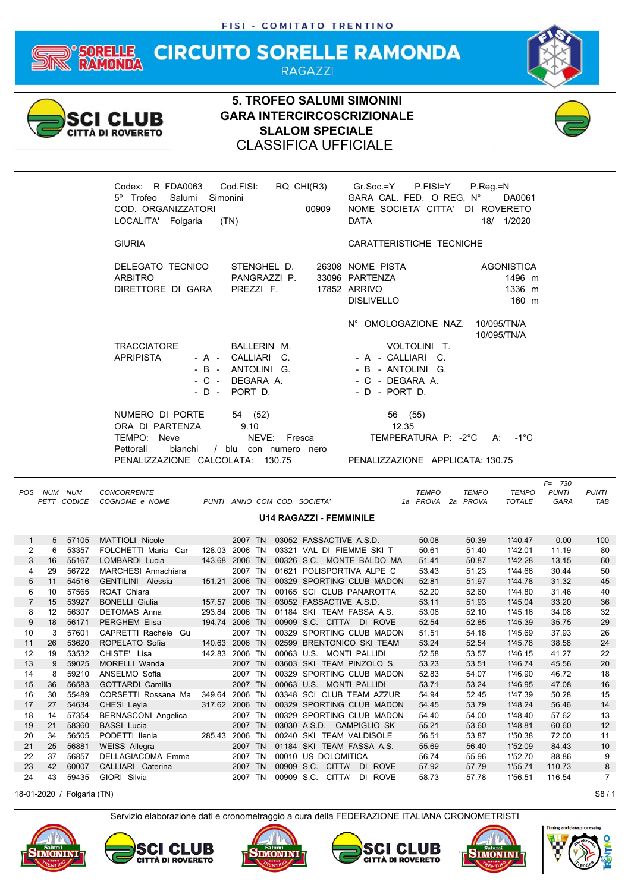#### **CIRCUITO SORELLE RAMONDA** ORELLE<br>AMONDA **RAGAZZI**



## **5. TROFEO SALUMI SIMONINI GARA INTERCIRCOSCRIZIONALE SLALOM SPECIALE** CLASSIFICA UFFICIALE



*F= 730*

| Codex: R_FDA0063 Cod.FISI:<br>5 <sup>°</sup> Trofeo Salumi Simonini<br>COD. ORGANIZZATORI<br>LOCALITA' Folgaria | RQ CHI(R3)<br>00909<br>(TN)                                                                | Gr.Soc.=Y  P.FISI=Y<br>GARA CAL. FED. O REG. N°<br>NOME SOCIETA' CITTA' DI ROVERETO<br><b>DATA</b>                   | $P_{\cdot}$ Reg $_{\cdot}$ =N<br>DA0061<br>18/<br>1/2020 |
|-----------------------------------------------------------------------------------------------------------------|--------------------------------------------------------------------------------------------|----------------------------------------------------------------------------------------------------------------------|----------------------------------------------------------|
| <b>GIURIA</b>                                                                                                   |                                                                                            | CARATTERISTICHE TECNICHE                                                                                             |                                                          |
| DELEGATO TECNICO<br><b>ARBITRO</b><br>DIRETTORE DI GARA                                                         | STENGHEL D. 26308 NOME PISTA<br>PANGRAZZI P.<br>PREZZI F.                                  | 33096 PARTENZA<br>17852 ARRIVO<br><b>DISLIVELLO</b>                                                                  | <b>AGONISTICA</b><br>1496 m<br>1336 m<br>160 m           |
| <b>TRACCIATORE</b><br><b>APRIPISTA</b>                                                                          | BALLERIN M.<br>- A - CALLIARI C.<br>- B - ANTOLINI G.<br>- C - DEGARA A.<br>$-D - PORTD$ . | N° OMOLOGAZIONE NAZ.<br>VOLTOLINI T.<br>- A - CALLIARI C.<br>- B - ANTOLINI G.<br>- C - DEGARA A.<br>$-D - PORT D$ . | 10/095/TN/A<br>10/095/TN/A                               |
| NUMERO DI PORTE<br>ORA DI PARTENZA<br>TEMPO:<br>Neve<br>Pettorali<br>bianchi<br>PENALIZZAZIONE CALCOLATA:       | 54 (52)<br>9.10<br>NEVE:<br>Fresca<br>/ blu con numero nero<br>130.75                      | 56 (55)<br>12.35<br>TEMPERATURA P: -2°C A: -1°C<br>PENALIZZAZIONE APPLICATA: 130.75                                  |                                                          |

| <b>POS</b>     | NUM      | <b>NUM</b>         | <b>CONCORRENTE</b>                             |                                  |         |  |                                                        | <b>TEMPO</b>   |    | <b>TEMPO</b>   | <b>TEMPO</b>       | <b>PUNTI</b>   | <b>PUNTI</b>   |
|----------------|----------|--------------------|------------------------------------------------|----------------------------------|---------|--|--------------------------------------------------------|----------------|----|----------------|--------------------|----------------|----------------|
|                |          | <b>PETT CODICE</b> | COGNOME e NOME                                 |                                  |         |  | PUNTI ANNO COM COD. SOCIETA'                           | 1a PROVA       | 2a | PROVA          | <b>TOTALE</b>      | <b>GARA</b>    | TAB            |
|                |          |                    |                                                |                                  |         |  | <b>U14 RAGAZZI - FEMMINILE</b>                         |                |    |                |                    |                |                |
|                |          |                    |                                                |                                  |         |  |                                                        |                |    |                |                    |                |                |
|                |          |                    |                                                |                                  |         |  |                                                        |                |    |                |                    |                |                |
| $\mathbf{1}$   | 5        | 57105              | <b>MATTIOLI Nicole</b>                         |                                  | 2007 TN |  | 03052 FASSACTIVE A.S.D.                                | 50.08          |    | 50.39          | 1'40.47            | 0.00           | 100            |
| 2<br>3         | 6<br>16  | 53357<br>55167     | FOLCHETTI Maria Car<br><b>LOMBARDI Lucia</b>   | 128.03 2006 TN<br>143.68 2006 TN |         |  | 03321 VAL DI FIEMME SKI T<br>00326 S.C. MONTE BALDO MA | 50.61<br>51.41 |    | 51.40<br>50.87 | 1'42.01<br>1'42.28 | 11.19<br>13.15 | 80<br>60       |
|                | 29       | 56722              | <b>MARCHESI Annachiara</b>                     |                                  | 2007 TN |  | 01621 POLISPORTIVA ALPE C                              | 53.43          |    | 51.23          | 1'44.66            | 30.44          |                |
| 4              | 11       | 54516              | <b>GENTILINI</b> Alessia                       |                                  |         |  | 00329 SPORTING CLUB MADON                              |                |    | 51.97          | 1'44.78            | 31.32          | 50<br>45       |
| 5<br>6         | 10       | 57565              | ROAT Chiara                                    | 151.21 2006 TN                   | 2007 TN |  | 00165 SCI CLUB PANAROTTA                               | 52.81<br>52.20 |    | 52.60          | 1'44.80            | 31.46          | 40             |
| $\overline{7}$ | 15       | 53927              | <b>BONELLI Giulia</b>                          | 157.57 2006 TN                   |         |  | 03052 FASSACTIVE A.S.D.                                | 53.11          |    | 51.93          | 1'45.04            | 33.20          | 36             |
| 8              | 12       | 56307              | <b>DETOMAS Anna</b>                            | 293.84 2006 TN                   |         |  | 01184 SKI TEAM FASSA A.S.                              | 53.06          |    | 52.10          | 1'45.16            | 34.08          | 32             |
|                |          | 56171              | <b>PERGHEM Elisa</b>                           | 194.74 2006 TN                   |         |  | 00909 S.C. CITTA' DI ROVE                              | 52.54          |    | 52.85          |                    |                | 29             |
| 9<br>10        | 18<br>3  | 57601              | CAPRETTI Rachele Gu                            |                                  | 2007 TN |  | 00329 SPORTING CLUB MADON                              | 51.51          |    | 54.18          | 1'45.39<br>1'45.69 | 35.75<br>37.93 | 26             |
| 11             | 26       | 53620              | ROPELATO Sofia                                 | 140.63 2006 TN                   |         |  | 02599 BRENTONICO SKI TEAM                              | 53.24          |    | 52.54          |                    | 38.58          | 24             |
|                | 19       |                    | CHISTE' Lisa                                   |                                  |         |  | 00063 U.S. MONTI PALLIDI                               |                |    |                | 1'45.78            |                |                |
| 12<br>13       | 9        | 53532<br>59025     | <b>MORELLI Wanda</b>                           | 142.83 2006 TN                   | 2007 TN |  | 03603 SKI TEAM PINZOLO S.                              | 52.58<br>53.23 |    | 53.57<br>53.51 | 1'46.15<br>1'46.74 | 41.27<br>45.56 | 22<br>20       |
| 14             | 8        | 59210              | ANSELMO Sofia                                  |                                  | 2007 TN |  | 00329 SPORTING CLUB MADON                              | 52.83          |    | 54.07          | 1'46.90            | 46.72          | 18             |
|                |          |                    |                                                |                                  |         |  | 00063 U.S. MONTI PALLIDI                               |                |    |                |                    |                |                |
| 15<br>16       | 36<br>30 | 56583<br>55489     | <b>GOTTARDI Camilla</b><br>CORSETTI Rossana Ma | 349.64 2006 TN                   | 2007 TN |  | 03348 SCI CLUB TEAM AZZUR                              | 53.71<br>54.94 |    | 53.24<br>52.45 | 1'46.95<br>1'47.39 | 47.08<br>50.28 | 16<br>15       |
| 17             | 27       | 54634              | CHESI Leyla                                    | 317.62 2006 TN                   |         |  | 00329 SPORTING CLUB MADON                              | 54.45          |    | 53.79          | 1'48.24            | 56.46          | 14             |
| 18             | 14       | 57354              | <b>BERNASCONI Angelica</b>                     |                                  | 2007 TN |  | 00329 SPORTING CLUB MADON                              | 54.40          |    | 54.00          | 1'48.40            | 57.62          | 13             |
| 19             | 21       | 58360              | <b>BASSI</b> Lucia                             |                                  | 2007 TN |  | 03030 A.S.D. CAMPIGLIO SK                              | 55.21          |    | 53.60          | 1'48.81            | 60.60          | 12             |
| 20             | 34       | 56505              | PODETTI Ilenia                                 | 285.43 2006 TN                   |         |  | 00240 SKI TEAM VALDISOLE                               | 56.51          |    | 53.87          | 1'50.38            | 72.00          | 11             |
| 21             | 25       | 56881              |                                                |                                  | 2007 TN |  | 01184 SKI TEAM FASSA A.S.                              | 55.69          |    | 56.40          | 1'52.09            | 84.43          | 10             |
| 22             | 37       | 56857              | <b>WEISS Allegra</b><br>DELLAGIACOMA Emma      |                                  | 2007 TN |  | 00010 US DOLOMITICA                                    | 56.74          |    | 55.96          | 1'52.70            | 88.86          | 9              |
| 23             | 42       | 60007              | CALLIARI Caterina                              |                                  | 2007 TN |  | 00909 S.C. CITTA'<br>DI ROVE                           | 57.92          |    | 57.79          | 1'55.71            | 110.73         | 8              |
| 24             | 43       | 59435              | GIORI Silvia                                   |                                  | 2007 TN |  | 00909 S.C. CITTA'<br>DI ROVE                           | 58.73          |    | 57.78          | 1'56.51            | 116.54         | $\overline{7}$ |
|                |          |                    |                                                |                                  |         |  |                                                        |                |    |                |                    |                |                |

18-01-2020 / Folgaria (TN) S8 / 1













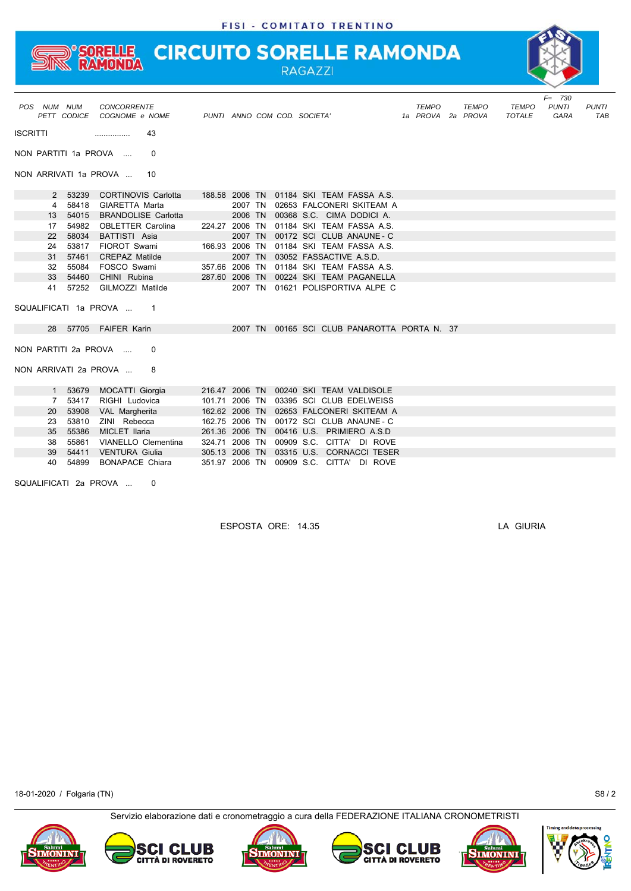# **SORELLE CIRCUITO SORELLE RAMONDA** RAGAZZI



|                 | POS NUM NUM     |          | <b>CONCORRENTE</b><br>PETT CODICE COGNOME e NOME        |                |         |  | PUNTI ANNO COM COD. SOCIETA'             |                                              | <b>TEMPO</b><br>1a PROVA | <b>TEMPO</b><br>2a PROVA | <b>TEMPO</b><br><b>TOTALE</b> | $F = 730$<br><b>PUNTI</b><br><b>GARA</b> | <b>PUNTI</b><br><b>TAB</b> |
|-----------------|-----------------|----------|---------------------------------------------------------|----------------|---------|--|------------------------------------------|----------------------------------------------|--------------------------|--------------------------|-------------------------------|------------------------------------------|----------------------------|
| <b>ISCRITTI</b> |                 |          | 43<br>                                                  |                |         |  |                                          |                                              |                          |                          |                               |                                          |                            |
|                 |                 |          | NON PARTITI 1a PROVA<br>0                               |                |         |  |                                          |                                              |                          |                          |                               |                                          |                            |
|                 |                 |          | NON ARRIVATI 1a PROVA<br>10                             |                |         |  |                                          |                                              |                          |                          |                               |                                          |                            |
|                 |                 | 2 53239  | <b>CORTINOVIS Carlotta</b>                              |                |         |  | 188.58 2006 TN 01184 SKI TEAM FASSA A.S. |                                              |                          |                          |                               |                                          |                            |
|                 | $\overline{4}$  | 58418    | <b>GIARETTA Marta</b>                                   |                | 2007 TN |  |                                          | 02653 FALCONERI SKITEAM A                    |                          |                          |                               |                                          |                            |
|                 | 13              | 54015    | <b>BRANDOLISE Carlotta</b>                              |                | 2006 TN |  | 00368 S.C. CIMA DODICI A.                |                                              |                          |                          |                               |                                          |                            |
|                 | 17 <sup>2</sup> | 54982    | <b>OBLETTER Carolina</b>                                | 224.27 2006 TN |         |  | 01184 SKI TEAM FASSA A.S.                |                                              |                          |                          |                               |                                          |                            |
|                 | 22              | 58034    | BATTISTI Asia                                           |                |         |  | 2007 TN 00172 SCI CLUB ANAUNE - C        |                                              |                          |                          |                               |                                          |                            |
|                 | 24              | 53817    | FIOROT Swami                                            | 166.93 2006 TN |         |  | 01184 SKI TEAM FASSA A.S.                |                                              |                          |                          |                               |                                          |                            |
|                 | 31              | 57461    | <b>CREPAZ Matilde</b>                                   |                | 2007 TN |  | 03052 FASSACTIVE A.S.D.                  |                                              |                          |                          |                               |                                          |                            |
|                 | 32              | 55084    | FOSCO Swami                                             |                |         |  | 357.66 2006 TN 01184 SKI TEAM FASSA A.S. |                                              |                          |                          |                               |                                          |                            |
|                 |                 | 33 54460 | CHINI Rubina                                            |                |         |  | 287.60 2006 TN 00224 SKI TEAM PAGANELLA  |                                              |                          |                          |                               |                                          |                            |
|                 | 41              |          | 57252 GILMOZZI Matilde                                  |                |         |  |                                          | 2007 TN 01621 POLISPORTIVA ALPE C            |                          |                          |                               |                                          |                            |
|                 |                 |          | SQUALIFICATI 1a PROVA<br>$\overline{\phantom{1}}$       |                |         |  |                                          |                                              |                          |                          |                               |                                          |                            |
|                 |                 |          | 28 57705 FAIFER Karin                                   |                |         |  |                                          | 2007 TN 00165 SCI CLUB PANAROTTA PORTA N. 37 |                          |                          |                               |                                          |                            |
|                 |                 |          | NON PARTITI 2a PROVA<br>0<br>NON ARRIVATI 2a PROVA<br>8 |                |         |  |                                          |                                              |                          |                          |                               |                                          |                            |
|                 | $1 \quad$       | 53679    | MOCATTI Giorgia                                         | 216.47 2006 TN |         |  | 00240 SKI TEAM VALDISOLE                 |                                              |                          |                          |                               |                                          |                            |
|                 | $7^{\circ}$     | 53417    | RIGHI Ludovica                                          | 101.71 2006 TN |         |  | 03395 SCI CLUB EDELWEISS                 |                                              |                          |                          |                               |                                          |                            |
|                 | 20              | 53908    | VAL Margherita                                          | 162.62 2006 TN |         |  |                                          | 02653 FALCONERI SKITEAM A                    |                          |                          |                               |                                          |                            |
|                 | 23              | 53810    | ZINI Rebecca                                            | 162.75 2006 TN |         |  | 00172 SCI CLUB ANAUNE - C                |                                              |                          |                          |                               |                                          |                            |
|                 | 35              | 55386    | MICLET Ilaria                                           | 261.36 2006 TN |         |  | 00416 U.S. PRIMIERO A.S.D                |                                              |                          |                          |                               |                                          |                            |
|                 | 38              | 55861    | <b>VIANELLO Clementina</b>                              | 324.71 2006 TN |         |  |                                          | 00909 S.C. CITTA' DI ROVE                    |                          |                          |                               |                                          |                            |
|                 | 39              | 54411    | <b>VENTURA Giulia</b>                                   | 305.13 2006 TN |         |  |                                          | 03315 U.S. CORNACCI TESER                    |                          |                          |                               |                                          |                            |
|                 | 40              | 54899    | <b>BONAPACE Chiara</b>                                  | 351.97 2006 TN |         |  |                                          | 00909 S.C. CITTA' DI ROVE                    |                          |                          |                               |                                          |                            |

SQUALIFICATI 2a PROVA ... 0

ESPOSTA ORE: 14.35 LA GIURIA

18-01-2020 / Folgaria (TN) S8 / 2











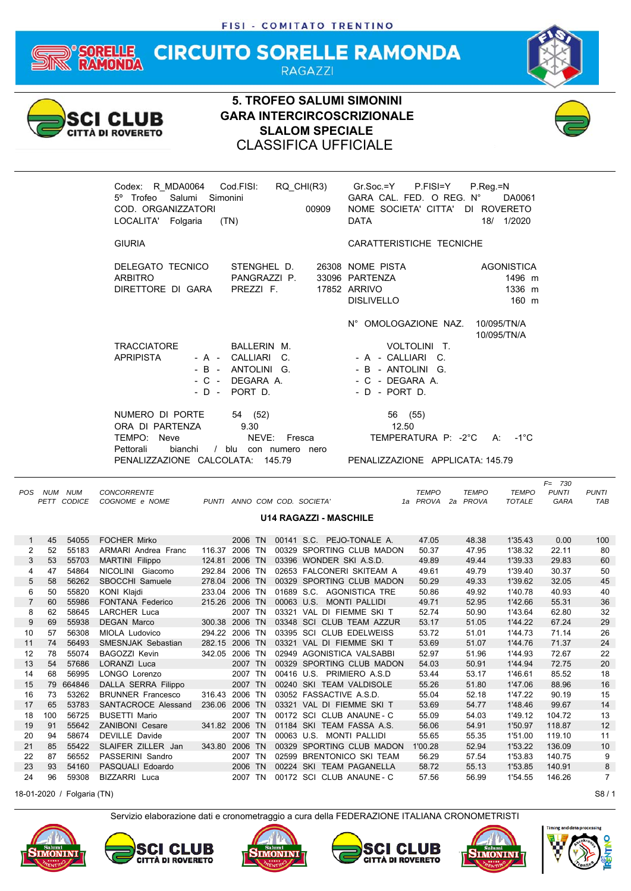#### **CIRCUITO SORELLE RAMONDA** FORELLE<br>RAMONDA **RAGAZZI**



## **5. TROFEO SALUMI SIMONINI GARA INTERCIRCOSCRIZIONALE SLALOM SPECIALE** CLASSIFICA UFFICIALE



| Codex: R MDA0064<br>5º Trofeo Salumi<br>Simonini<br>COD. ORGANIZZATORI<br>LOCALITA' Folgaria<br>(TN)       | Cod.FISI:<br>RQ CHI(R3)<br>00909                                                                             | P.FISI=Y<br>$Gr.Soc = Y$<br>GARA CAL. FED. O REG. N°<br>NOME SOCIETA' CITTA' DI ROVERETO<br><b>DATA</b>                                                      | $P_{\cdot}$ Reg $=$ N<br>DA0061<br>18/ 1/2020                         |
|------------------------------------------------------------------------------------------------------------|--------------------------------------------------------------------------------------------------------------|--------------------------------------------------------------------------------------------------------------------------------------------------------------|-----------------------------------------------------------------------|
| <b>GIURIA</b>                                                                                              |                                                                                                              | CARATTERISTICHE TECNICHE                                                                                                                                     |                                                                       |
| DELEGATO TECNICO<br><b>ARBITRO</b><br>DIRETTORE DI GARA<br><b>TRACCIATORE</b><br><b>APRIPISTA</b><br>- A - | STENGHEL D.<br>PANGRAZZI P.<br>PREZZI F.<br>BALLERIN M.<br>CALLIARI C.<br>- B - ANTOLINI G.                  | 26308 NOME PISTA<br>33096 PARTENZA<br>17852 ARRIVO<br><b>DISLIVELLO</b><br>N° OMOLOGAZIONE NAZ.<br>VOLTOLINI T.<br>- A - CALLIARI<br>C.<br>- B - ANTOLINI G. | AGONISTICA<br>1496 m<br>1336 m<br>160 m<br>10/095/TN/A<br>10/095/TN/A |
| NUMERO DI PORTE<br>ORA DI PARTENZA<br>TEMPO: Neve<br>Pettorali<br>bianchi<br>PENALIZZAZIONE CALCOLATA:     | - C - DEGARA A.<br>- D - PORT D.<br>54 (52)<br>9.30<br>NFVF:<br>Fresca<br>/ blu con numero<br>nero<br>145.79 | - C - DEGARA A.<br>- D - PORT D.<br>56 (55)<br>12.50<br>TEMPERATURA P: -2°C<br>PENALIZZAZIONE APPLICATA: 145.79                                              | $-1^{\circ}$ C<br>A:                                                  |

| <b>POS</b>     | <b>NUM</b> | <b>NUM</b><br><b>PETT CODICE</b> | <b>CONCORRENTE</b><br>COGNOME e NOME |                |         |           |            | PUNTI ANNO COM COD. SOCIETA'  | <b>TEMPO</b><br>1a PROVA | <b>TEMPO</b><br>PROVA<br>2a | <b>TEMPO</b><br><b>TOTALE</b> | $F = 730$<br><b>PUNTI</b><br>GARA | <b>PUNTI</b><br><b>TAB</b> |
|----------------|------------|----------------------------------|--------------------------------------|----------------|---------|-----------|------------|-------------------------------|--------------------------|-----------------------------|-------------------------------|-----------------------------------|----------------------------|
|                |            |                                  |                                      |                |         |           |            | <b>U14 RAGAZZI - MASCHILE</b> |                          |                             |                               |                                   |                            |
| 1              | 45         | 54055                            | <b>FOCHER Mirko</b>                  |                | 2006    | <b>TN</b> |            | 00141 S.C. PEJO-TONALE A.     | 47.05                    | 48.38                       | 1'35.43                       | 0.00                              | 100                        |
| 2              | 52         | 55183                            | ARMARI Andrea Franc                  | 116.37         | 2006    | <b>TN</b> |            | 00329 SPORTING CLUB MADON     | 50.37                    | 47.95                       | 1'38.32                       | 22.11                             | 80                         |
| 3              | 53         | 55703                            | <b>MARTINI Filippo</b>               | 124.81         | 2006    | <b>TN</b> |            | 03396 WONDER SKI A.S.D.       | 49.89                    | 49.44                       | 1'39.33                       | 29.83                             | 60                         |
| 4              | 47         | 54864                            | NICOLINI Giacomo                     | 292.84         | 2006 TN |           |            | 02653 FALCONERI SKITEAM A     | 49.61                    | 49.79                       | 1'39.40                       | 30.37                             | 50                         |
| 5              | 58         | 56262                            | SBOCCHI Samuele                      | 278.04         | 2006 TN |           |            | 00329 SPORTING CLUB MADON     | 50.29                    | 49.33                       | 1'39.62                       | 32.05                             | 45                         |
| 6              | 50         | 55820                            | KONI Klajdi                          | 233.04         | 2006 TN |           |            | 01689 S.C. AGONISTICA TRE     | 50.86                    | 49.92                       | 1'40.78                       | 40.93                             | 40                         |
| $\overline{7}$ | 60         | 55986                            | <b>FONTANA Federico</b>              | 215.26         | 2006 TN |           | 00063 U.S. | <b>MONTI PALLIDI</b>          | 49.71                    | 52.95                       | 1'42.66                       | 55.31                             | 36                         |
| 8              | 62         | 58645                            | <b>LARCHER Luca</b>                  |                | 2007 TN |           |            | 03321 VAL DI FIEMME SKI T     | 52.74                    | 50.90                       | 1'43.64                       | 62.80                             | 32                         |
| 9              | 69         | 55938                            | <b>DEGAN Marco</b>                   | 300.38 2006 TN |         |           |            | 03348 SCI CLUB TEAM AZZUR     | 53.17                    | 51.05                       | 1'44.22                       | 67.24                             | 29                         |
| 10             | 57         | 56308                            | MIOLA Ludovico                       | 294.22 2006 TN |         |           |            | 03395 SCI CLUB EDELWEISS      | 53.72                    | 51.01                       | 1'44.73                       | 71.14                             | 26                         |
| 11             | 74         | 56493                            | <b>SMESNJAK Sebastian</b>            | 282.15         | 2006 TN |           |            | 03321 VAL DI FIEMME SKI T     | 53.69                    | 51.07                       | 1'44.76                       | 71.37                             | 24                         |
| 12             | 78         | 55074                            | <b>BAGOZZI Kevin</b>                 | 342.05         | 2006 TN |           |            | 02949 AGONISTICA VALSABBI     | 52.97                    | 51.96                       | 1'44.93                       | 72.67                             | 22                         |
| 13             | 54         | 57686                            | <b>LORANZI Luca</b>                  |                | 2007 TN |           |            | 00329 SPORTING CLUB MADON     | 54.03                    | 50.91                       | 1'44.94                       | 72.75                             | 20                         |
| 14             | 68         | 56995                            | LONGO Lorenzo                        |                | 2007 TN |           |            | 00416 U.S. PRIMIERO A.S.D     | 53.44                    | 53.17                       | 1'46.61                       | 85.52                             | 18                         |
| 15             | 79         | 664846                           | DALLA SERRA Filippo                  |                | 2007 TN |           |            | 00240 SKI TEAM VALDISOLE      | 55.26                    | 51.80                       | 1'47.06                       | 88.96                             | 16                         |
| 16             | 73         | 53262                            | <b>BRUNNER Francesco</b>             | 316.43         | 2006 TN |           |            | 03052 FASSACTIVE A.S.D.       | 55.04                    | 52.18                       | 1'47.22                       | 90.19                             | 15                         |
| 17             | 65         | 53783                            | SANTACROCE Alessand                  | 236.06         | 2006 TN |           |            | 03321 VAL DI FIEMME SKI T     | 53.69                    | 54.77                       | 1'48.46                       | 99.67                             | 14                         |
| 18             | 100        | 56725                            | <b>BUSETTI Mario</b>                 |                | 2007 TN |           |            | 00172 SCI CLUB ANAUNE - C     | 55.09                    | 54.03                       | 1'49.12                       | 104.72                            | 13                         |
| 19             | 91         | 55642                            | <b>ZANIBONI Cesare</b>               | 341.82 2006 TN |         |           |            | 01184 SKI TEAM FASSA A.S.     | 56.06                    | 54.91                       | 1'50.97                       | 118.87                            | 12                         |
| 20             | 94         | 58674                            | <b>DEVILLE Davide</b>                |                | 2007 TN |           |            | 00063 U.S. MONTI PALLIDI      | 55.65                    | 55.35                       | 1'51.00                       | 119.10                            | 11                         |
| 21             | 85         | 55422                            | SLAIFER ZILLER Jan                   | 343.80         | 2006 TN |           |            | 00329 SPORTING CLUB MADON     | 1'00.28                  | 52.94                       | 1'53.22                       | 136.09                            | 10                         |
| 22             | 87         | 56552                            | PASSERINI Sandro                     |                | 2007 TN |           |            | 02599 BRENTONICO SKI TEAM     | 56.29                    | 57.54                       | 1'53.83                       | 140.75                            | 9                          |
| 23             | 93         | 54160                            | PASQUALI Edoardo                     |                | 2006 TN |           |            | 00224 SKI TEAM PAGANELLA      | 58.72                    | 55.13                       | 1'53.85                       | 140.91                            | 8                          |
| 24             | 96         | 59308                            | <b>BIZZARRI</b> Luca                 |                | 2007 TN |           |            | 00172 SCI CLUB ANAUNE - C     | 57.56                    | 56.99                       | 1'54.55                       | 146.26                            | $\overline{7}$             |

18-01-2020 / Folgaria (TN) S8 / 1











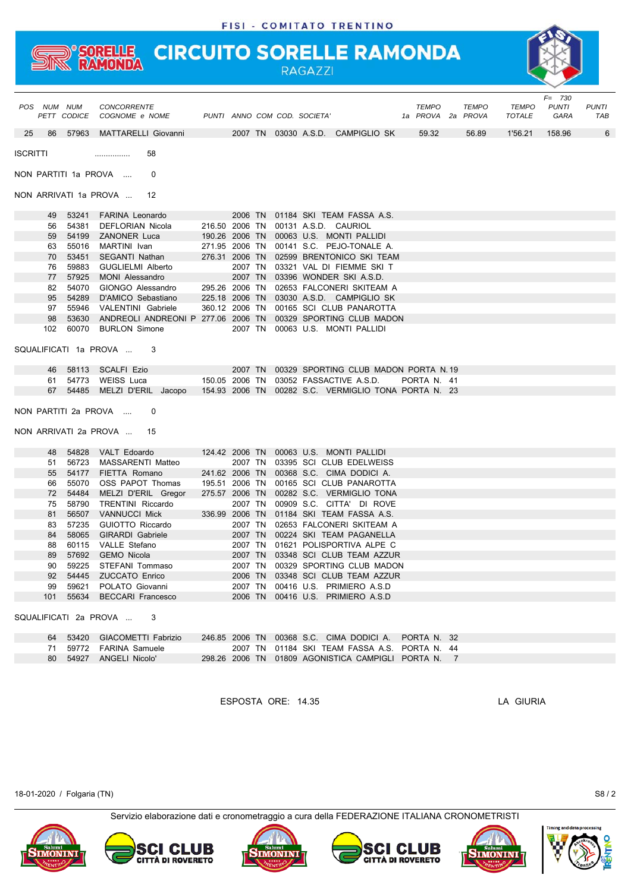# **SORELLE CIRCUITO SORELLE RAMONDA** RAGAZZI



| POS NUM NUM     |      | PETT CODICE | <b>CONCORRENTE</b><br>COGNOME e NOME                                              |                   |         |  | PUNTI ANNO COM COD. SOCIETA' |                                                     | TEMPO<br>1a PROVA 2a PROVA | <b>TEMPO</b> | TEMPO<br>TOTALE | $F = 730$<br><b>PUNTI</b><br>GARA | <b>PUNTI</b><br>TAB |
|-----------------|------|-------------|-----------------------------------------------------------------------------------|-------------------|---------|--|------------------------------|-----------------------------------------------------|----------------------------|--------------|-----------------|-----------------------------------|---------------------|
|                 |      |             | 25 86 57963 MATTARELLI Giovanni                                                   |                   |         |  |                              | 2007 TN 03030 A.S.D. CAMPIGLIO SK                   | 59.32                      | 56.89        | 1'56.21         | 158.96                            | $6\overline{6}$     |
| <b>ISCRITTI</b> |      |             | 58                                                                                |                   |         |  |                              |                                                     |                            |              |                 |                                   |                     |
|                 |      |             | NON PARTITI 1a PROVA<br>$\Omega$                                                  |                   |         |  |                              |                                                     |                            |              |                 |                                   |                     |
|                 |      |             | NON ARRIVATI 1a PROVA<br>12                                                       |                   |         |  |                              |                                                     |                            |              |                 |                                   |                     |
|                 | 49   | 53241       | FARINA Leonardo                                                                   | <b>CONTRACTOR</b> | 2006 TN |  |                              | 01184 SKI TEAM FASSA A.S.                           |                            |              |                 |                                   |                     |
|                 | 56   | 54381       | DEFLORIAN Nicola                                                                  |                   |         |  |                              | 216.50 2006 TN 00131 A.S.D. CAURIOL                 |                            |              |                 |                                   |                     |
|                 |      | 59 54199    | <b>ZANONER Luca</b>                                                               | 190.26 2006 TN    |         |  |                              | 00063 U.S. MONTI PALLIDI                            |                            |              |                 |                                   |                     |
|                 |      | 63 55016    | MARTINI Ivan                                                                      |                   |         |  |                              | 271.95 2006 TN 00141 S.C. PEJO-TONALE A.            |                            |              |                 |                                   |                     |
|                 | 70   | 53451       | SEGANTI Nathan                                                                    | 276.31 2006 TN    |         |  |                              | 02599 BRENTONICO SKI TEAM                           |                            |              |                 |                                   |                     |
|                 |      | 76 59883    | GUGLIELMI Alberto                                                                 |                   | 2007 TN |  |                              | 03321 VAL DI FIEMME SKI T                           |                            |              |                 |                                   |                     |
|                 |      | 77 57925    | MONI Alessandro                                                                   |                   |         |  |                              | 2007 TN 03396 WONDER SKI A.S.D.                     |                            |              |                 |                                   |                     |
|                 | 82   | 54070       | GIONGO Alessandro                                                                 | 295.26 2006 TN    |         |  |                              | 02653 FALCONERI SKITEAM A                           |                            |              |                 |                                   |                     |
|                 |      | 95 54289    | D'AMICO Sebastiano                                                                |                   |         |  |                              | 225.18 2006 TN 03030 A.S.D. CAMPIGLIO SK            |                            |              |                 |                                   |                     |
|                 | 97   | 55946       | <b>VALENTINI Gabriele</b>                                                         |                   |         |  |                              | 360.12 2006 TN 00165 SCI CLUB PANAROTTA             |                            |              |                 |                                   |                     |
|                 | 98   | 53630       | ANDREOLI ANDREONI P 277.06 2006 TN                                                |                   |         |  |                              | 00329 SPORTING CLUB MADON                           |                            |              |                 |                                   |                     |
|                 |      | 102 60070   | <b>BURLON Simone</b>                                                              |                   |         |  |                              | 2007 TN 00063 U.S. MONTI PALLIDI                    |                            |              |                 |                                   |                     |
|                 |      |             | SQUALIFICATI 1a PROVA<br>3                                                        |                   |         |  |                              |                                                     |                            |              |                 |                                   |                     |
|                 |      |             | 46 58113 SCALFI Ezio                                                              |                   | 2007 TN |  |                              | 00329 SPORTING CLUB MADON PORTA N.19                |                            |              |                 |                                   |                     |
|                 |      |             | 61 54773 WEISS Luca                                                               |                   |         |  |                              | 150.05 2006 TN 03052 FASSACTIVE A.S.D.              | PORTA N. 41                |              |                 |                                   |                     |
|                 |      |             | 67 54485 MELZI D'ERIL Jacopo 154.93 2006 TN 00282 S.C. VERMIGLIO TONA PORTA N. 23 |                   |         |  |                              |                                                     |                            |              |                 |                                   |                     |
|                 |      |             | NON PARTITI 2a PROVA<br>0                                                         |                   |         |  |                              |                                                     |                            |              |                 |                                   |                     |
|                 |      |             | NON ARRIVATI 2a PROVA  15                                                         |                   |         |  |                              |                                                     |                            |              |                 |                                   |                     |
|                 | 48   |             | 54828 VALT Edoardo                                                                |                   |         |  |                              | 124.42 2006 TN 00063 U.S. MONTI PALLIDI             |                            |              |                 |                                   |                     |
|                 |      |             | 51 56723 MASSARENTI Matteo                                                        |                   |         |  |                              | 2007 TN 03395 SCI CLUB EDELWEISS                    |                            |              |                 |                                   |                     |
|                 | 55   | 54177       | FIETTA Romano                                                                     |                   |         |  |                              | 241.62 2006 TN 00368 S.C. CIMA DODICI A.            |                            |              |                 |                                   |                     |
|                 | 66   | 55070       | OSS PAPOT Thomas                                                                  | 195.51 2006 TN    |         |  |                              | 00165 SCI CLUB PANAROTTA                            |                            |              |                 |                                   |                     |
|                 | 72   | 54484       | MELZI D'ERIL Gregor                                                               |                   |         |  |                              | 275.57 2006 TN 00282 S.C. VERMIGLIO TONA            |                            |              |                 |                                   |                     |
|                 | 75   | 58790       | <b>TRENTINI Riccardo</b>                                                          |                   | 2007 TN |  |                              | 00909 S.C. CITTA' DI ROVE                           |                            |              |                 |                                   |                     |
|                 | 81   | 56507       | <b>VANNUCCI Mick</b>                                                              | 336.99 2006 TN    |         |  |                              | 01184 SKI TEAM FASSA A.S.                           |                            |              |                 |                                   |                     |
|                 | 83   | 57235       | GUIOTTO Riccardo                                                                  |                   | 2007 TN |  |                              | 02653 FALCONERI SKITEAM A                           |                            |              |                 |                                   |                     |
|                 | 84   | 58065       | GIRARDI Gabriele                                                                  |                   | 2007 TN |  |                              | 00224 SKI TEAM PAGANELLA                            |                            |              |                 |                                   |                     |
|                 | 88   | 60115       | VALLE Stefano                                                                     |                   |         |  |                              | 2007 TN 01621 POLISPORTIVA ALPE C                   |                            |              |                 |                                   |                     |
|                 | 89   | 57692       | <b>GEMO Nicola</b>                                                                |                   | 2007 TN |  |                              | 03348 SCI CLUB TEAM AZZUR                           |                            |              |                 |                                   |                     |
|                 | 90   | 59225       | STEFANI Tommaso                                                                   |                   |         |  |                              | 2007 TN 00329 SPORTING CLUB MADON                   |                            |              |                 |                                   |                     |
|                 | 92   |             | 54445 ZUCCATO Enrico                                                              |                   |         |  |                              | 2006 TN 03348 SCI CLUB TEAM AZZUR                   |                            |              |                 |                                   |                     |
|                 | 99   | 59621       | POLATO Giovanni                                                                   |                   |         |  |                              | 2007 TN 00416 U.S. PRIMIERO A.S.D                   |                            |              |                 |                                   |                     |
|                 | 101  | 55634       | <b>BECCARI Francesco</b>                                                          |                   |         |  |                              | 2006 TN 00416 U.S. PRIMIERO A.S.D                   |                            |              |                 |                                   |                     |
|                 |      |             | SQUALIFICATI 2a PROVA<br>3                                                        |                   |         |  |                              |                                                     |                            |              |                 |                                   |                     |
|                 | 64 - | 53420       | GIACOMETTI Fabrizio                                                               | 246.85 2006 TN    |         |  |                              | 00368 S.C. CIMA DODICI A.                           | PORTA N. 32                |              |                 |                                   |                     |
|                 | 71   |             | 59772 FARINA Samuele                                                              |                   | 2007 TN |  |                              | 01184 SKI TEAM FASSA A.S. PORTA N. 44               |                            |              |                 |                                   |                     |
|                 | 80   |             | 54927 ANGELI Nicolo'                                                              |                   |         |  |                              | 298.26 2006 TN 01809 AGONISTICA CAMPIGLI PORTA N. 7 |                            |              |                 |                                   |                     |

ESPOSTA ORE: 14.35 LA GIURIA

18-01-2020 / Folgaria (TN) S8 / 2











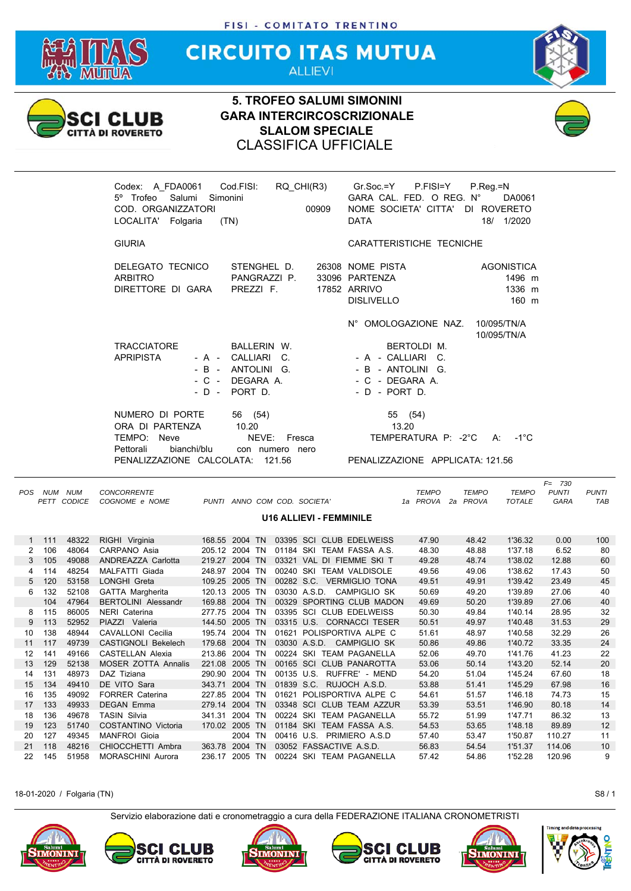

**CIRCUITO ITAS MUTUA ALLIEVI** 



## **5. TROFEO SALUMI SIMONINI GARA INTERCIRCOSCRIZIONALE SLALOM SPECIALE** CLASSIFICA UFFICIALE



|        |                                               |                         | Codex: A FDA0061 Cod.FISI:<br>5º Trofeo Salumi Simonini<br>COD. ORGANIZZATORI<br>LOCALITA' Folgaria                                        |             | (TN)                                                                                      |                                 | 00909                                                          | RQ_CHI(R3) Gr.Soc.=Y P.FISI=Y<br>GARA CAL. FED. O REG. N°<br>NOME SOCIETA' CITTA' DI ROVERETO<br><b>DATA</b>                                                                |                                           | $P_{\cdot}$ Reg $_{\cdot}$ =N             | DA0061<br>18/ 1/2020                                |                                          |                             |
|--------|-----------------------------------------------|-------------------------|--------------------------------------------------------------------------------------------------------------------------------------------|-------------|-------------------------------------------------------------------------------------------|---------------------------------|----------------------------------------------------------------|-----------------------------------------------------------------------------------------------------------------------------------------------------------------------------|-------------------------------------------|-------------------------------------------|-----------------------------------------------------|------------------------------------------|-----------------------------|
|        |                                               |                         | <b>GIURIA</b>                                                                                                                              |             |                                                                                           |                                 |                                                                | CARATTERISTICHE TECNICHE                                                                                                                                                    |                                           |                                           |                                                     |                                          |                             |
|        |                                               |                         | DELEGATO TECNICO<br><b>ARBITRO</b><br>DIRETTORE DI GARA                                                                                    |             | STENGHEL D.<br>PANGRAZZI P.<br>PREZZI F.                                                  |                                 |                                                                | 26308 NOME PISTA<br>33096 PARTENZA<br>17852 ARRIVO<br><b>DISLIVELLO</b>                                                                                                     |                                           |                                           | <b>AGONISTICA</b><br>1496 m<br>1336 m<br>160 m      |                                          |                             |
|        |                                               |                         | <b>TRACCIATORE</b><br><b>APRIPISTA</b>                                                                                                     |             | BALLERIN W.<br>- A - CALLIARI C.<br>- B - ANTOLINI G.<br>- C - DEGARA A.<br>- D - PORT D. |                                 |                                                                | N° OMOLOGAZIONE NAZ.<br>- A - CALLIARI C.<br>- B - ANTOLINI G.<br>- C - DEGARA A.<br>$-D - PORT D$ .                                                                        | BERTOLDI M.                               |                                           | 10/095/TN/A<br>10/095/TN/A                          |                                          |                             |
|        |                                               |                         | NUMERO DI PORTE<br>ORA DI PARTENZA<br>TEMPO: Neve<br>Pettorali<br>PENALIZZAZIONE CALCOLATA: 121.56                                         | bianchi/blu | 56 (54)<br>10.20                                                                          | NEVE: Fresca<br>con numero nero |                                                                | PENALIZZAZIONE APPLICATA: 121.56                                                                                                                                            | 55 (54)<br>13.20                          | TEMPERATURA P: -2°C A: -1°C               |                                                     |                                          |                             |
|        | POS NUM NUM                                   |                         | <b>CONCORRENTE</b><br>PETT CODICE COGNOME e NOME                                                                                           |             |                                                                                           |                                 | PUNTI ANNO COM COD. SOCIETA'<br><b>U16 ALLIEVI - FEMMINILE</b> |                                                                                                                                                                             | <b>TEMPO</b><br>1a PROVA 2a PROVA         | <b>TEMPO</b>                              | <b>TEMPO</b><br><b>TOTALE</b>                       | $F = 730$<br><b>PUNTI</b><br><b>GARA</b> | <b>PUNTI</b><br><b>TAE</b>  |
| 3<br>4 | $1 \quad 111$<br>2 106<br>105<br>114<br>5 120 | 48064<br>49088<br>48254 | 48322 RIGHI Virginia 168.55 2004 TN 03395 SCI CLUB EDELWEISS<br>CARPANO Asia<br>ANDREAZZA Carlotta<br>MALFATTI Giada<br>53158 LONGHI Greta |             |                                                                                           |                                 |                                                                | 205.12 2004 TN 01184 SKI TEAM FASSA A.S.<br>219.27 2004 TN 03321 VAL DI FIEMME SKI T<br>248.97 2004 TN 00240 SKI TEAM VALDISOLE<br>109.25 2005 TN 00282 S.C. VERMIGLIO TONA | 47.90<br>48.30<br>49.28<br>49.56<br>49.51 | 48.42<br>48.88<br>48.74<br>49.06<br>49.91 | 1'36.32<br>1'37.18<br>1'38.02<br>1'38.62<br>1'39.42 | 0.00<br>6.52<br>12.88<br>17.43<br>23.49  | 100<br>80<br>60<br>50<br>45 |
|        |                                               |                         | 6 122 52109 CATTA Maraborita                                                                                                               |             |                                                                                           |                                 |                                                                | 120.12 2005 TN 02020 A C D CAMPICLIO CK                                                                                                                                     | 50.60                                     | $\Lambda$ $\Omega$ $\Omega$               | חס חכיו                                             | 27.0G                                    | $\Lambda$                   |

3 105 49088 ANDREAZZA Carlotta 219.27 2004 TN 03321 VAL DI FIEMME SKI T 49.28 48.74 1'38.02 12.88 60 4 114 48254 MALFATTI Giada 248.97 2004 TN 00240 SKI TEAM VALDISOLE 49.56 49.06 1'38.62 17.43 50 5 120 53158 LONGHI Greta 109.25 2005 TN 00282 S.C. VERMIGLIO TONA 49.51 49.91 1'39.42 23.49 45 6 132 52108 GATTA Margherita 120.13 2005 TN 03030 A.S.D. CAMPIGLIO SK 50.69 49.20 1'39.89 27.06 40 104 47964 BERTOLINI Alessandr 169.88 2004 TN 00329 SPORTING CLUB MADON 49.69 50.20 1'39.89 27.06 40 8 115 86005 NERI Caterina 277.75 2004 TN 03395 SCI CLUB EDELWEISS 50.30 49.84 1'40.14 28.95 32 9 113 52952 PIAZZI Valeria 144.50 2005 TN 03315 U.S. CORNACCI TESER 50.51 49.97 1'40.48 31.53 29 10 138 48944 CAVALLONI Cecilia 195.74 2004 TN 01621 POLISPORTIVA ALPE C 51.61 48.97 1'40.58 32.29 26 11 117 49739 CASTIGNOLI Bekelech 179.68 2004 TN 03030 A.S.D. CAMPIGLIO SK 50.86 49.86 1'40.72 33.35 24 12 141 49166 CASTELLAN Alexia 213.86 2004 TN 00224 SKI TEAM PAGANELLA 52.06 49.70 1'41.76 41.23 22 13 129 52138 MOSER ZOTTA Annalis 221.08 2005 TN 00165 SCI CLUB PANAROTTA 53.06 50.14 1'43.20 52.14 20 14 131 48973 DAZ Tiziana 290.90 2004 TN 00135 U.S. RUFFRE' - MEND 54.20 51.04 1'45.24 67.60 18 15 134 49410 DE VITO Sara 343.71 2004 TN 01839 S.C. RUJOCH A.S.D. 53.88 51.41 1'45.29 67.98 16 16 135 49092 FORRER Caterina 227.85 2004 TN 01621 POLISPORTIVA ALPE C 54.61 51.57 1'46.18 74.73 15 17 133 49933 DEGAN Emma 279.14 2004 TN 03348 SCI CLUB TEAM AZZUR 53.39 53.51 1'46.90 80.18 14 18 136 49678 TASIN Silvia 341.31 2004 TN 00224 SKI TEAM PAGANELLA 55.72 51.99 1'47.71 86.32 13 19 123 51740 COSTANTINO Victoria 170.02 2005 TN 01184 SKI TEAM FASSA A.S. 54.53 53.65 1'48.18 89.89 12 20 127 49345 MANFROI Gioia 2004 TN 00416 U.S. PRIMIERO A.S.D 57.40 53.47 1'50.87 110.27 11 21 118 48216 CHIOCCHETTI Ambra 363.78 2004 TN 03052 FASSACTIVE A.S.D. 56.83 54.54 1'51.37 114.06 10 22 145 51958 MORASCHINI Aurora 236.17 2005 TN 00224 SKI TEAM PAGANELLA 57.42 54.86 1'52.28 120.96 9

18-01-2020 / Folgaria (TN) S8 / 1











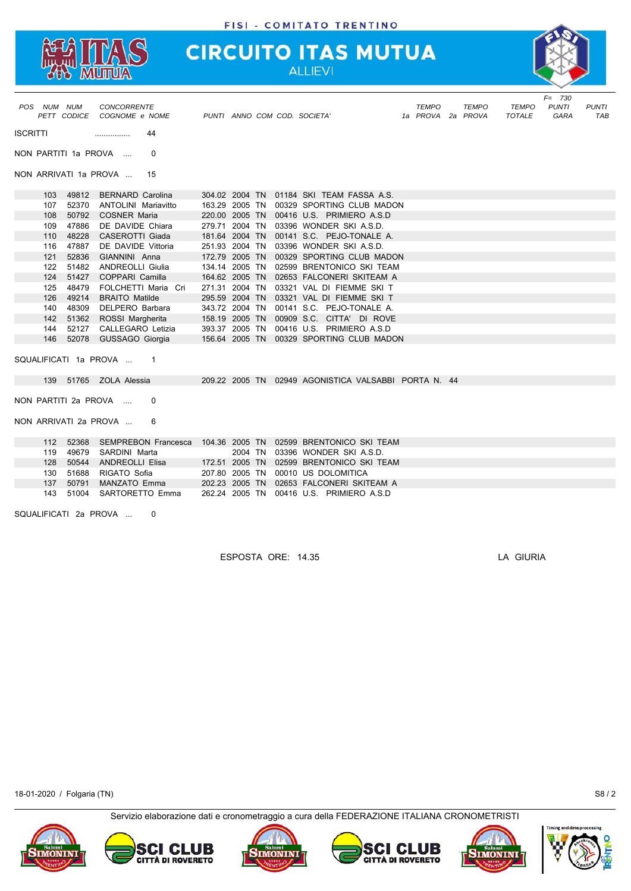

# **CIRCUITO ITAS MUTUA**



| POS NUM NUM                                   |       | <b>CONCORRENTE</b><br>PETT CODICE COGNOME e NOME |                | PUNTI ANNO COM COD. SOCIETA'                         | <b>TEMPO</b> | <b>TEMPO</b><br>1a PROVA 2a PROVA | <b>TEMPO</b><br><b>TOTALE</b> | $F = 730$<br><b>PUNTI</b><br>GARA | PUNTI<br><b>TAB</b> |
|-----------------------------------------------|-------|--------------------------------------------------|----------------|------------------------------------------------------|--------------|-----------------------------------|-------------------------------|-----------------------------------|---------------------|
| <b>ISCRITTI</b>                               |       | 44<br>.                                          |                |                                                      |              |                                   |                               |                                   |                     |
| NON PARTITI 1a PROVA                          |       | $\Omega$                                         |                |                                                      |              |                                   |                               |                                   |                     |
| NON ARRIVATI 1a PROVA                         |       | 15                                               |                |                                                      |              |                                   |                               |                                   |                     |
| 103                                           | 49812 | <b>BERNARD Carolina</b>                          |                | 304.02 2004 TN 01184 SKI TEAM FASSA A.S.             |              |                                   |                               |                                   |                     |
| 107                                           | 52370 | <b>ANTOLINI Mariavitto</b>                       |                | 163.29 2005 TN 00329 SPORTING CLUB MADON             |              |                                   |                               |                                   |                     |
| 108                                           | 50792 | <b>COSNER Maria</b>                              |                | 220.00 2005 TN 00416 U.S. PRIMIERO A.S.D             |              |                                   |                               |                                   |                     |
| 109                                           | 47886 | DE DAVIDE Chiara                                 |                | 279.71 2004 TN 03396 WONDER SKI A.S.D.               |              |                                   |                               |                                   |                     |
| 110                                           | 48228 | <b>CASEROTTI Giada</b>                           |                | 181.64 2004 TN 00141 S.C. PEJO-TONALE A.             |              |                                   |                               |                                   |                     |
| 116                                           | 47887 | DE DAVIDE Vittoria                               | 251.93 2004 TN | 03396 WONDER SKI A.S.D.                              |              |                                   |                               |                                   |                     |
| 121                                           | 52836 | GIANNINI Anna                                    |                | 172.79 2005 TN 00329 SPORTING CLUB MADON             |              |                                   |                               |                                   |                     |
| 122                                           | 51482 | <b>ANDREOLLI Giulia</b>                          |                | 134.14 2005 TN 02599 BRENTONICO SKI TEAM             |              |                                   |                               |                                   |                     |
| 124                                           | 51427 | COPPARI Camilla                                  |                | 164.62 2005 TN 02653 FALCONERI SKITEAM A             |              |                                   |                               |                                   |                     |
| 125                                           | 48479 | FOLCHETTI Maria Cri                              |                | 271.31 2004 TN 03321 VAL DI FIEMME SKI T             |              |                                   |                               |                                   |                     |
| 126                                           | 49214 | <b>BRAITO Matilde</b>                            |                | 295.59 2004 TN 03321 VAL DI FIEMME SKI T             |              |                                   |                               |                                   |                     |
| 140                                           | 48309 | DELPERO Barbara                                  |                | 343.72 2004 TN 00141 S.C. PEJO-TONALE A.             |              |                                   |                               |                                   |                     |
| 142                                           | 51362 | ROSSI Margherita                                 |                | 158.19 2005 TN 00909 S.C. CITTA' DI ROVE             |              |                                   |                               |                                   |                     |
| 144                                           | 52127 | CALLEGARO Letizia                                |                | 393.37 2005 TN 00416 U.S. PRIMIERO A.S.D             |              |                                   |                               |                                   |                     |
| 146                                           | 52078 | GUSSAGO Giorgia                                  |                | 156.64 2005 TN 00329 SPORTING CLUB MADON             |              |                                   |                               |                                   |                     |
| SQUALIFICATI 1a PROVA                         |       | $\overline{1}$                                   |                |                                                      |              |                                   |                               |                                   |                     |
| 139                                           |       | 51765 ZOLA Alessia                               |                | 209.22 2005 TN 02949 AGONISTICA VALSABBI PORTA N. 44 |              |                                   |                               |                                   |                     |
| NON PARTITI 2a PROVA<br>NON ARRIVATI 2a PROVA |       | $\Omega$<br>6                                    |                |                                                      |              |                                   |                               |                                   |                     |
| 112                                           | 52368 | <b>SEMPREBON Francesca</b>                       |                | 104.36 2005 TN 02599 BRENTONICO SKI TEAM             |              |                                   |                               |                                   |                     |
| 119                                           | 49679 | SARDINI Marta                                    |                | 2004 TN 03396 WONDER SKI A.S.D.                      |              |                                   |                               |                                   |                     |
| 128                                           | 50544 | <b>ANDREOLLI Elisa</b>                           |                | 172.51 2005 TN 02599 BRENTONICO SKI TEAM             |              |                                   |                               |                                   |                     |
| 130                                           | 51688 | RIGATO Sofia                                     |                | 207.80 2005 TN 00010 US DOLOMITICA                   |              |                                   |                               |                                   |                     |
| 137                                           | 50791 | MANZATO Emma                                     |                | 202.23 2005 TN 02653 FALCONERI SKITEAM A             |              |                                   |                               |                                   |                     |
| 143                                           | 51004 | SARTORETTO Emma                                  |                | 262.24 2005 TN 00416 U.S. PRIMIERO A.S.D             |              |                                   |                               |                                   |                     |
| SQUALIFICATI 2a PROVA                         |       | $\Omega$                                         |                |                                                      |              |                                   |                               |                                   |                     |

ESPOSTA ORE: 14.35 LA GIURIA

18-01-2020 / Folgaria (TN) S8 / 2











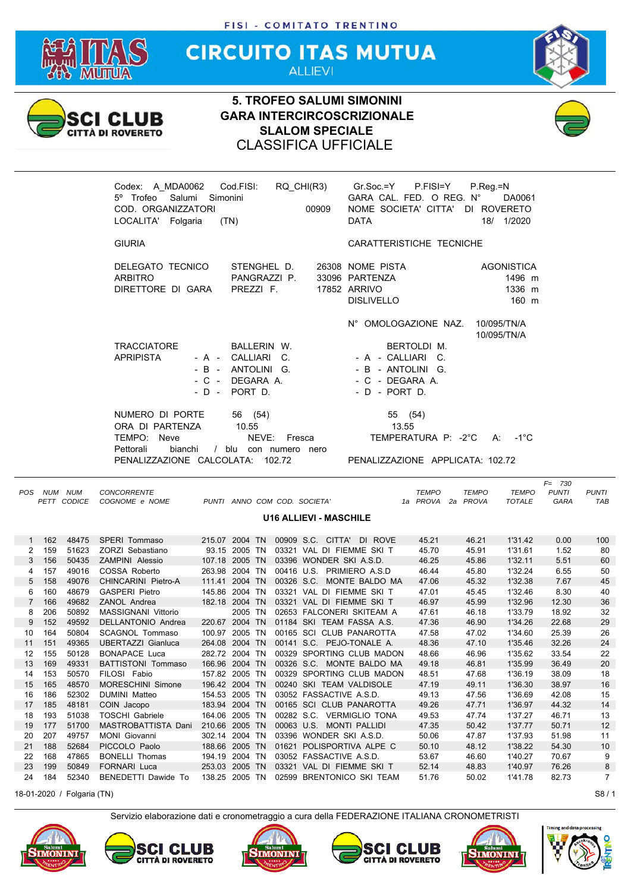

**CIRCUITO ITAS MUTUA ALLIEVI** 



## **5. TROFEO SALUMI SIMONINI GARA INTERCIRCOSCRIZIONALE SLALOM SPECIALE** CLASSIFICA UFFICIALE



| Codex: A MDA0062 Cod.FISI:<br>5 <sup>°</sup> Trofeo Salumi Simonini<br>COD. ORGANIZZATORI<br>LOCALITA' Folgaria | RQ CHI(R3)<br>00909<br>(TN)                                                               | Gr.Soc.=Y P.FISI=Y<br>GARA CAL. FED. O REG. N°<br>NOME SOCIETA' CITTA' DI ROVERETO<br><b>DATA</b>                  | $P_{\cdot}$ Reg $_{\cdot}$ =N<br>DA0061<br>18/ 1/2020 |
|-----------------------------------------------------------------------------------------------------------------|-------------------------------------------------------------------------------------------|--------------------------------------------------------------------------------------------------------------------|-------------------------------------------------------|
| <b>GIURIA</b>                                                                                                   |                                                                                           | CARATTERISTICHE TECNICHE                                                                                           |                                                       |
| DELEGATO TECNICO<br><b>ARBITRO</b><br>DIRETTORE DI GARA                                                         | STENGHEL D.<br>PANGRAZZI P.<br>PREZZI F.                                                  | 26308 NOME PISTA<br>33096 PARTENZA<br>17852 ARRIVO<br><b>DISLIVELLO</b>                                            | AGONISTICA<br>1496 m<br>1336 m<br>160 m               |
| <b>TRACCIATORE</b><br><b>APRIPISTA</b>                                                                          | BALLERIN W.<br>- A - CALLIARI C.<br>- B - ANTOLINI G.<br>- C - DEGARA A.<br>- D - PORT D. | N° OMOLOGAZIONE NAZ.<br>BERTOLDI M.<br>- A - CALLIARI C.<br>- B - ANTOLINI G.<br>$-C$ - DEGARA A.<br>- D - PORT D. | 10/095/TN/A<br>10/095/TN/A                            |
| NUMERO DI PORTE<br>ORA DI PARTENZA<br>TEMPO: Neve<br>Pettorali<br>bianchi<br>PENALIZZAZIONE CALCOLATA:          | 56 (54)<br>10.55<br>NEVE:<br>Fresca<br>/ blu con numero nero<br>102.72                    | 55 (54)<br>13.55<br>TEMPERATURA P: -2°C A: -1°C<br>PENALIZZAZIONE APPLICATA: 102.72                                |                                                       |

*F= 730 POS NUM NUM CONCORRENTE TEMPO TEMPO TEMPO PUNTI PUNTI PETT CODICE COGNOME e NOME PUNTI ANNO COM COD. SOCIETA' 1a PROVA 2a PROVA TOTALE GARA TAB* **U16 ALLIEVI - MASCHILE** 1 162 48475 SPERI Tommaso 215.07 2004 TN 00909 S.C. CITTA' DI ROVE 45.21 46.21 1'31.42 0.00 100 2 159 51623 ZORZI Sebastiano 93.15 2005 TN 03321 VAL DI FIEMME SKI T 45.70 45.91 1'31.61 1.52 80 3 156 50435 ZAMPINI Alessio 107.18 2005 TN 03396 WONDER SKI A.S.D. 46.25 45.86 1'32.11 5.51 60 4 157 49016 COSSA Roberto 263.98 2004 TN 00416 U.S. PRIMIERO A.S.D 46.44 45.80 1'32.24 6.55 50 5 158 49076 CHINCARINI Pietro-A 111.41 2004 TN 00326 S.C. MONTE BALDO MA 47.06 45.32 1'32.38 7.67 45 6 160 48679 GASPERI Pietro 145.86 2004 TN 03321 VAL DI FIEMME SKI T 47.01 45.45 1'32.46 8.30 40 7 166 49682 ZANOL Andrea 182.18 2004 TN 03321 VAL DI FIEMME SKI T 46.97 45.99 1'32.96 12.30 36 8 206 50892 MASSIGNANI Vittorio 2005 TN 02653 FALCONERI SKITEAM A 47.61 46.18 1'33.79 18.92 32 9 152 49592 DELLANTONIO Andrea 220.67 2004 TN 01184 SKI TEAM FASSA A.S. 47.36 46.90 1'34.26 22.68 29 10 164 50804 SCAGNOL Tommaso 100.97 2005 TN 00165 SCI CLUB PANAROTTA 47.58 47.02 1'34.60 25.39 26 11 151 49365 UBERTAZZI Gianluca 264.08 2004 TN 00141 S.C. PEJO-TONALE A. 48.36 47.10 1'35.46 32.26 24 12 155 50128 BONAPACE Luca 282.72 2004 TN 00329 SPORTING CLUB MADON 48.66 46.96 1'35.62 33.54 22 13 169 49331 BATTISTONI Tommaso 166.96 2004 TN 00326 S.C. MONTE BALDO MA 49.18 46.81 1'35.99 36.49 20 14 153 50570 FILOSI Fabio 157.82 2005 TN 00329 SPORTING CLUB MADON 48.51 47.68 1'36.19 38.09 18 15 165 48570 MORESCHINI Simone 196.42 2004 TN 00240 SKI TEAM VALDISOLE 47.19 49.11 1'36.30 38.97 16 16 186 52302 DUMINI Matteo 154.53 2005 TN 03052 FASSACTIVE A.S.D. 49.13 47.56 1'36.69 42.08 15 17 185 48181 COIN Jacopo 183.94 2004 TN 00165 SCI CLUB PANAROTTA 49.26 47.71 1'36.97 44.32 14 18 193 51038 TOSCHI-Gabriele 164.06 2005 TN 00282 S.C. VERMIGLIO TONA 19.53 147.74 1'37.27 146.71 13<br>19 177 51700 MASTROBATTISTA-Dani 210.66 2005 TN 00063 U.S. MONTI-PALLIDI 147.35 50.42 1'37.77 50.71 12 19 177 51700 MASTROBATTISTA Dani 210.66 2005 TN 00063 U.S. MONTI PALLIDI 47.35 50.42 1'37.77 50.71 12 20 207 49757 MONI Giovanni 302.14 2004 TN 03396 WONDER SKI A.S.D. 50.06 47.87 1'37.93 51.98 11 21 188 52684 PICCOLO Paolo 188.66 2005 TN 01621 POLISPORTIVA ALPE C 50.10 48.12 1'38.22 54.30 10 22 168 47865 BONELLI Thomas 194.19 2004 TN 03052 FASSACTIVE A.S.D. 53.67 46.60 1'40.27 70.67 9 23 199 50849 FORNARI Luca 253.03 2005 TN 03321 VAL DI FIEMME SKI T 52.14 48.83 1'40.97 76.26 8 24 184 52340 BENEDETTI Dawide To 138.25 2005 TN 02599 BRENTONICO SKI TEAM 51.76 50.02 1'41.78 82.73 7

18-01-2020 / Folgaria (TN) S8 / 1